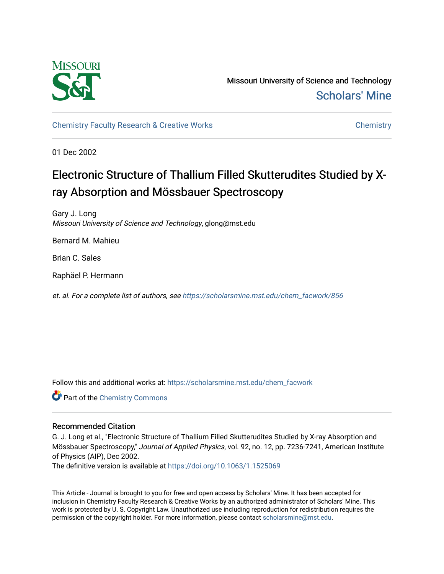

Missouri University of Science and Technology [Scholars' Mine](https://scholarsmine.mst.edu/) 

[Chemistry Faculty Research & Creative Works](https://scholarsmine.mst.edu/chem_facwork) [Chemistry](https://scholarsmine.mst.edu/chem) Chemistry

01 Dec 2002

# Electronic Structure of Thallium Filled Skutterudites Studied by Xray Absorption and Mössbauer Spectroscopy

Gary J. Long Missouri University of Science and Technology, glong@mst.edu

Bernard M. Mahieu

Brian C. Sales

Raphäel P. Hermann

et. al. For a complete list of authors, see [https://scholarsmine.mst.edu/chem\\_facwork/856](https://scholarsmine.mst.edu/chem_facwork/856) 

Follow this and additional works at: [https://scholarsmine.mst.edu/chem\\_facwork](https://scholarsmine.mst.edu/chem_facwork?utm_source=scholarsmine.mst.edu%2Fchem_facwork%2F856&utm_medium=PDF&utm_campaign=PDFCoverPages)

**C** Part of the Chemistry Commons

## Recommended Citation

G. J. Long et al., "Electronic Structure of Thallium Filled Skutterudites Studied by X-ray Absorption and Mössbauer Spectroscopy," Journal of Applied Physics, vol. 92, no. 12, pp. 7236-7241, American Institute of Physics (AIP), Dec 2002.

The definitive version is available at <https://doi.org/10.1063/1.1525069>

This Article - Journal is brought to you for free and open access by Scholars' Mine. It has been accepted for inclusion in Chemistry Faculty Research & Creative Works by an authorized administrator of Scholars' Mine. This work is protected by U. S. Copyright Law. Unauthorized use including reproduction for redistribution requires the permission of the copyright holder. For more information, please contact [scholarsmine@mst.edu](mailto:scholarsmine@mst.edu).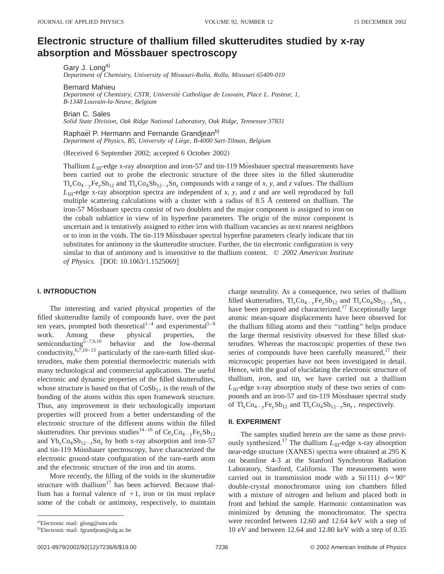# **Electronic structure of thallium filled skutterudites studied by x-ray absorption and Mo¨ ssbauer spectroscopy**

Gary J. Long<sup>a)</sup>

*Department of Chemistry, University of Missouri-Rolla, Rolla, Missouri 65409-010*

Bernard Mahieu

*Department of Chemistry, CSTR, Universite´ Catholique de Louvain, Place L. Pasteur, 1, B-1348 Louvain-la-Neuve, Belgium*

Brian C. Sales

*Solid State Division, Oak Ridge National Laboratory, Oak Ridge, Tennessee 37831*

Raphael P. Hermann and Fernande Grandjean<sup>b)</sup> *Department of Physics, B5, University of Lie`ge, B-4000 Sart-Tilman, Belgium*

(Received 6 September 2002; accepted 6 October 2002)

Thallium  $L_{\text{III}}$ -edge x-ray absorption and iron-57 and tin-119 Mössbauer spectral measurements have been carried out to probe the electronic structure of the three sites in the filled skutterudite  $Tl_xCo_{4-y}Fe_ySb_{12}$  and  $Tl_xCo_4Sb_{12-z}Sn_z$  compounds with a range of *x*, *y*, and *z* values. The thallium  $L_{\text{III}}$ -edge x-ray absorption spectra are independent of *x*, *y*, and *z* and are well reproduced by full multiple scattering calculations with a cluster with a radius of 8.5 Å centered on thallium. The iron-57 Mossbauer spectra consist of two doublets and the major component is assigned to iron on the cobalt sublattice in view of its hyperfine parameters. The origin of the minor component is uncertain and is tentatively assigned to either iron with thallium vacancies as next nearest neighbors or to iron in the voids. The tin-119 Mössbauer spectral hyperfine parameters clearly indicate that tin substitutes for antimony in the skutterudite structure. Further, the tin electronic configuration is very similar to that of antimony and is insensitive to the thallium content. © *2002 American Institute of Physics.* [DOI: 10.1063/1.1525069]

#### **I. INTRODUCTION**

The interesting and varied physical properties of the filled skutterudite family of compounds have, over the past ten years, prompted both theoretical<sup>1-4</sup> and experimental<sup>5-8</sup> work. Among these physical properties, the semiconducting  $5-7,9,10$  behavior and the low-thermal conductivity,  $6,7,10-13$  particularly of the rare-earth filled skutterudites, make them potential thermoelectric materials with many technological and commercial applications. The useful electronic and dynamic properties of the filled skutterudites, whose structure is based on that of  $CoSb<sub>3</sub>$ , is the result of the bonding of the atoms within this open framework structure. Thus, any improvement in their technologically important properties will proceed from a better understanding of the electronic structure of the different atoms within the filled skutterudites. Our previous studies<sup>14–16</sup> of  $Ce_{x}Co_{4-y}Fe_{y}Sb_{12}$ and  $Yb<sub>x</sub>Co<sub>4</sub>Sb<sub>12-z</sub>Sn<sub>z</sub>$  by both x-ray absorption and iron-57 and tin-119 Mössbauer spectroscopy, have characterized the electronic ground-state configuration of the rare-earth atom and the electronic structure of the iron and tin atoms.

More recently, the filling of the voids in the skutterudite structure with thallium<sup>17</sup> has been achieved. Because thallium has a formal valence of  $+1$ , iron or tin must replace some of the cobalt or antimony, respectively, to maintain charge neutrality. As a consequence, two series of thallium filled skutterudites,  $Tl_xCo_{4-y}Fe_ySb_{12}$  and  $Tl_xCo_4Sb_{12-z}Sn_z$ , have been prepared and characterized.<sup>17</sup> Exceptionally large atomic mean-square displacements have been observed for the thallium filling atoms and their ''rattling'' helps produce the large thermal resistivity observed for these filled skutterudites. Whereas the macroscopic properties of these two series of compounds have been carefully measured, $17$  their microscopic properties have not been investigated in detail. Hence, with the goal of elucidating the electronic structure of thallium, iron, and tin, we have carried out a thallium  $L_{\text{III}}$ -edge x-ray absorption study of these two series of compounds and an iron-57 and tin-119 Mössbauer spectral study of  $Tl_xCo_{4-y}Fe_ySb_{12}$  and  $Tl_xCo_4Sb_{12-z}Sn_z$ , respectively.

#### **II. EXPERIMENT**

The samples studied herein are the same as those previously synthesized.<sup>17</sup> The thallium  $L_{\text{III}}$ -edge x-ray absorption near-edge structure (XANES) spectra were obtained at 295 K on beamline 4-3 at the Stanford Synchrotron Radiation Laboratory, Stanford, California. The measurements were carried out in transmission mode with a Si(111)  $\phi = 90^\circ$ double-crystal monochromator using ion chambers filled with a mixture of nitrogen and helium and placed both in front and behind the sample. Harmonic contamination was minimized by detuning the monochromator. The spectra were recorded between 12.60 and 12.64 keV with a step of 10 eV and between 12.64 and 12.80 keV with a step of 0.35

a)Electronic mail: glong@umr.edu

<sup>&</sup>lt;sup>b)</sup>Electronic mail: fgrandjean@ulg.ac.be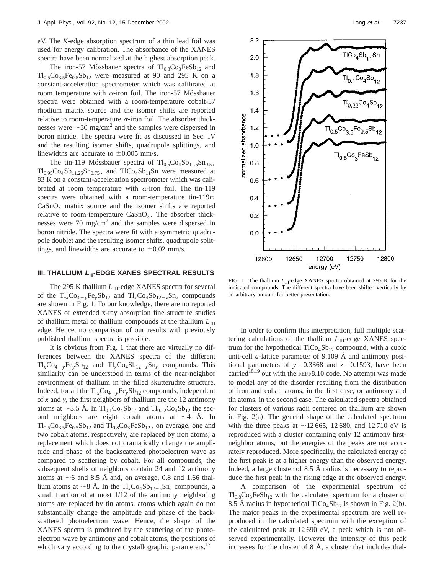eV. The *K*-edge absorption spectrum of a thin lead foil was used for energy calibration. The absorbance of the XANES spectra have been normalized at the highest absorption peak.

The iron-57 Mössbauer spectra of  $Tl_{0.8}Co_3FeSb_{12}$  and  $Tl_{0.5}Co_{3.5}Fe_{0.5}Sb_{12}$  were measured at 90 and 295 K on a constant-acceleration spectrometer which was calibrated at room temperature with  $\alpha$ -iron foil. The iron-57 Mössbauer spectra were obtained with a room-temperature cobalt-57 rhodium matrix source and the isomer shifts are reported relative to room-temperature  $\alpha$ -iron foil. The absorber thicknesses were  $\sim$ 30 mg/cm<sup>2</sup> and the samples were dispersed in boron nitride. The spectra were fit as discussed in Sec. IV and the resulting isomer shifts, quadrupole splittings, and linewidths are accurate to  $\pm 0.005$  mm/s.

The tin-119 Mössbauer spectra of  $Tl_{0.5}Co_4Sb_{11.5}Sn_{0.5}$ ,  $Tl_{0.95}Co_4Sb_{11.25}Sn_{0.75}$ , and  $TlCo_4Sb_{11}Sn$  were measured at 83 K on a constant-acceleration spectrometer which was calibrated at room temperature with  $\alpha$ -iron foil. The tin-119 spectra were obtained with a room-temperature tin-119*m*  $CaSnO<sub>3</sub>$  matrix source and the isomer shifts are reported relative to room-temperature  $CaSnO<sub>3</sub>$ . The absorber thicknesses were  $70 \text{ mg/cm}^2$  and the samples were dispersed in boron nitride. The spectra were fit with a symmetric quadrupole doublet and the resulting isomer shifts, quadrupole splittings, and linewidths are accurate to  $\pm 0.02$  mm/s.

#### **III. THALLIUM L<sub>III</sub>-EDGE XANES SPECTRAL RESULTS**

The 295 K thallium *L*<sub>III</sub>-edge XANES spectra for several of the  $Tl_xCo_{4-y}Fe_vSb_{12}$  and  $Tl_xCo_4Sb_{12-z}Sn_z$  compounds are shown in Fig. 1. To our knowledge, there are no reported XANES or extended x-ray absorption fine structure studies of thallium metal or thallium compounds at the thallium  $L_{\text{III}}$ edge. Hence, no comparison of our results with previously published thallium spectra is possible.

It is obvious from Fig. 1 that there are virtually no differences between the XANES spectra of the different  $Tl_xCo_{4-y}Fe_ySb_{12}$  and  $Tl_xCo_4Sb_{12-z}Sn_z$  compounds. This similarity can be understood in terms of the near-neighbor environment of thallium in the filled skutterudite structure. Indeed, for all the  $Tl_xCo_{4-y}Fe_ySb_{12}$  compounds, independent of *x* and *y*, the first neighbors of thallium are the 12 antimony atoms at  $\sim$ 3.5 Å. In Tl<sub>0.1</sub>Co<sub>4</sub>Sb<sub>12</sub> and Tl<sub>0.22</sub>Co<sub>4</sub>Sb<sub>12</sub> the second neighbors are eight cobalt atoms at  $\sim$ 4 Å. In  $Tl_{0.5}Co_{3.5}Fe_{0.5}Sb_{12}$  and  $Tl_{0.8}Co_3FeSb_{12}$ , on average, one and two cobalt atoms, respectively, are replaced by iron atoms; a replacement which does not dramatically change the amplitude and phase of the backscattered photoelectron wave as compared to scattering by cobalt. For all compounds, the subsequent shells of neighbors contain 24 and 12 antimony atoms at  $\sim$ 6 and 8.5 Å and, on average, 0.8 and 1.66 thallium atoms at  $\sim$ 8 Å. In the Tl<sub>x</sub>Co<sub>4</sub>Sb<sub>12-z</sub>Sn<sub>z</sub> compounds, a small fraction of at most  $1/12$  of the antimony neighboring atoms are replaced by tin atoms, atoms which again do not substantially change the amplitude and phase of the backscattered photoelectron wave. Hence, the shape of the XANES spectra is produced by the scattering of the photoelectron wave by antimony and cobalt atoms, the positions of which vary according to the crystallographic parameters.<sup>17</sup>



FIG. 1. The thallium  $L_{\text{III}}$ -edge XANES spectra obtained at 295 K for the indicated compounds. The different spectra have been shifted vertically by an arbitrary amount for better presentation.

In order to confirm this interpretation, full multiple scattering calculations of the thallium *L*<sub>III</sub>-edge XANES spectrum for the hypothetical  $TICo<sub>4</sub>Sb<sub>12</sub>$  compound, with a cubic unit-cell *a*-lattice parameter of 9.109 Å and antimony positional parameters of  $y=0.3368$  and  $z=0.1593$ , have been carried<sup>18,19</sup> out with the FEFF8.10 code. No attempt was made to model any of the disorder resulting from the distribution of iron and cobalt atoms, in the first case, or antimony and tin atoms, in the second case. The calculated spectra obtained for clusters of various radii centered on thallium are shown in Fig.  $2(a)$ . The general shape of the calculated spectrum with the three peaks at  $\sim$ 12 665, 12 680, and 12 710 eV is reproduced with a cluster containing only 12 antimony firstneighbor atoms, but the energies of the peaks are not accurately reproduced. More specifically, the calculated energy of the first peak is at a higher energy than the observed energy. Indeed, a large cluster of 8.5 Å radius is necessary to reproduce the first peak in the rising edge at the observed energy.

A comparison of the experimental spectrum of  $Tl_{0.8}Co_3FeSb_{12}$  with the calculated spectrum for a cluster of 8.5 Å radius in hypothetical  $TICo<sub>4</sub>Sb<sub>12</sub>$  is shown in Fig. 2(b). The major peaks in the experimental spectrum are well reproduced in the calculated spectrum with the exception of the calculated peak at 12 690 eV, a peak which is not observed experimentally. However the intensity of this peak increases for the cluster of 8 Å, a cluster that includes thal-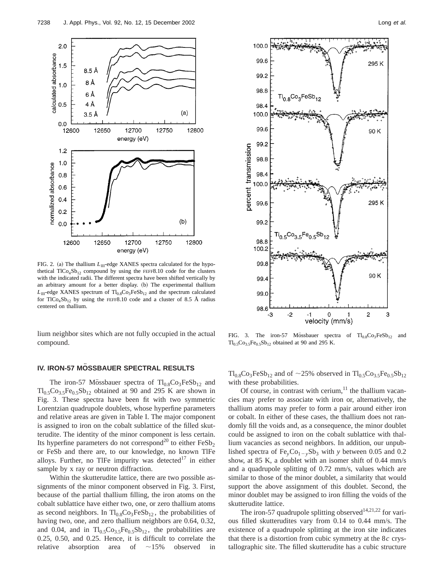

FIG. 2. (a) The thallium  $L_{\text{III}}$ -edge XANES spectra calculated for the hypothetical  $TICo<sub>4</sub>Sb<sub>12</sub>$  compound by using the FEFF8.10 code for the clusters with the indicated radii. The different spectra have been shifted vertically by an arbitrary amount for a better display. (b) The experimental thallium  $L_{\text{III}}$ -edge XANES spectrum of Tl<sub>0.8</sub>Co<sub>3</sub>FeSb<sub>12</sub> and the spectrum calculated for TlCo<sub>4</sub>Sb<sub>12</sub> by using the FEFF8.10 code and a cluster of 8.5 Å radius centered on thallium.

lium neighbor sites which are not fully occupied in the actual compound.

### **IV. IRON-57 MOSSBAUER SPECTRAL RESULTS**

The iron-57 Mössbauer spectra of  $T_{0.8}Co_3FeSb_{12}$  and  $Tl_{0.5}Co_{3.5}Fe_{0.5}Sb_{12}$  obtained at 90 and 295 K are shown in Fig. 3. These spectra have been fit with two symmetric Lorentzian quadrupole doublets, whose hyperfine parameters and relative areas are given in Table I. The major component is assigned to iron on the cobalt sublattice of the filled skutterudite. The identity of the minor component is less certain. Its hyperfine parameters do not correspond<sup>20</sup> to either  $FeSb<sub>2</sub>$ or FeSb and there are, to our knowledge, no known TlFe alloys. Further, no TlFe impurity was detected<sup>17</sup> in either sample by x ray or neutron diffraction.

Within the skutterudite lattice, there are two possible assignments of the minor component observed in Fig. 3. First, because of the partial thallium filling, the iron atoms on the cobalt sublattice have either two, one, or zero thallium atoms as second neighbors. In  $Tl_{0.8}Co_3FeSb_{12}$ , the probabilities of having two, one, and zero thallium neighbors are 0.64, 0.32, and 0.04, and in  $Tl_{0.5}Co_{3.5}Fe_{0.5}Sb_{12}$ , the probabilities are 0.25, 0.50, and 0.25. Hence, it is difficult to correlate the relative absorption area of  $\sim$ 15% observed in



FIG. 3. The iron-57 Mössbauer spectra of  $Tl_{0.8}Co_3FeSb_{12}$  and  $Tl_{0.5}Co_{3.5}Fe_{0.5}Sb_{12}$  obtained at 90 and 295 K.

 $Tl_{0.8}Co_3FeSb_{12}$  and of  $\sim$ 25% observed in  $Tl_{0.5}Co_{3.5}Fe_{0.5}Sb_{12}$ with these probabilities.

Of course, in contrast with cerium, $11$  the thallium vacancies may prefer to associate with iron or, alternatively, the thallium atoms may prefer to form a pair around either iron or cobalt. In either of these cases, the thallium does not randomly fill the voids and, as a consequence, the minor doublet could be assigned to iron on the cobalt sublattice with thallium vacancies as second neighbors. In addition, our unpublished spectra of  $Fe<sub>v</sub>Co<sub>1-v</sub>Sb<sub>3</sub>$  with *y* between 0.05 and 0.2 show, at 85 K, a doublet with an isomer shift of 0.44 mm/s and a quadrupole splitting of 0.72 mm/s, values which are similar to those of the minor doublet, a similarity that would support the above assignment of this doublet. Second, the minor doublet may be assigned to iron filling the voids of the skutterudite lattice.

The iron-57 quadrupole splitting observed<sup>14,21,22</sup> for various filled skutterudites vary from 0.14 to 0.44 mm/s. The existence of a quadrupole splitting at the iron site indicates that there is a distortion from cubic symmetry at the 8*c* crystallographic site. The filled skutterudite has a cubic structure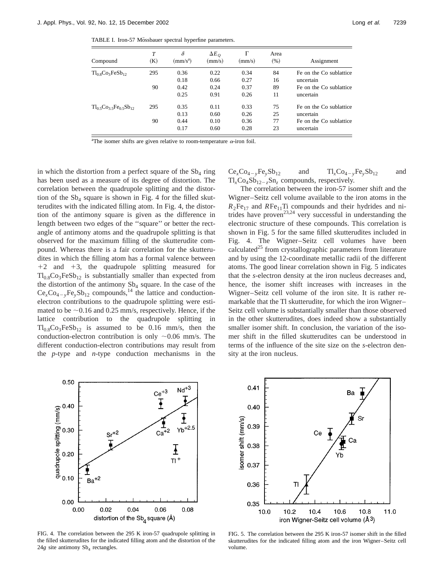TABLE I. Iron-57 Mössbauer spectral hyperfine parameters.

| Compound                          | T<br>(K) | δ<br>$(mm/s^a)$ | $\Delta E_O$<br>(mm/s) | Г<br>(mm/s) | Area<br>(% ) | Assignment              |
|-----------------------------------|----------|-----------------|------------------------|-------------|--------------|-------------------------|
| $Tl_{0.8}Co_3FeSb_{12}$           | 295      | 0.36            | 0.22                   | 0.34        | 84           | Fe on the Co sublattice |
|                                   |          | 0.18            | 0.66                   | 0.27        | 16           | uncertain               |
|                                   | 90       | 0.42            | 0.24                   | 0.37        | 89           | Fe on the Co sublattice |
|                                   |          | 0.25            | 0.91                   | 0.26        | 11           | uncertain               |
| $Tl_0$ , $Co_3$ , $Fe_0$ , $Sb_1$ | 295      | 0.35            | 0.11                   | 0.33        | 75           | Fe on the Co sublattice |
|                                   |          | 0.13            | 0.60                   | 0.26        | 25           | uncertain               |
|                                   | 90       | 0.44            | 0.10                   | 0.36        | 77           | Fe on the Co sublattice |
|                                   |          | 0.17            | 0.60                   | 0.28        | 23           | uncertain               |

<sup>a</sup>The isomer shifts are given relative to room-temperature  $\alpha$ -iron foil.

in which the distortion from a perfect square of the  $Sb<sub>4</sub>$  ring has been used as a measure of its degree of distortion. The correlation between the quadrupole splitting and the distortion of the  $Sb_4$  square is shown in Fig. 4 for the filled skutterudites with the indicated filling atom. In Fig. 4, the distortion of the antimony square is given as the difference in length between two edges of the ''square'' or better the rectangle of antimony atoms and the quadrupole splitting is that observed for the maximum filling of the skutterudite compound. Whereas there is a fair correlation for the skutterudites in which the filling atom has a formal valence between  $+2$  and  $+3$ , the quadrupole splitting measured for  $Tl_{0.8}Co_3FeSb_{12}$  is substantially smaller than expected from the distortion of the antimony  $Sb_4$  square. In the case of the  $Ce<sub>x</sub>Co<sub>4-y</sub>Fe<sub>y</sub>Sb<sub>12</sub>$  compounds,<sup>14</sup> the lattice and conductionelectron contributions to the quadrupole splitting were estimated to be  $\sim$  0.16 and 0.25 mm/s, respectively. Hence, if the lattice contribution to the quadrupole splitting in  $Tl_{0.8}Co_3FeSb_{12}$  is assumed to be 0.16 mm/s, then the conduction-electron contribution is only  $\sim 0.06$  mm/s. The different conduction-electron contributions may result from the *p*-type and *n*-type conduction mechanisms in the  $Ce_xCo_{4-y}Fe_ySb_{12}$  and  $Tl_xCo_{4-y}Fe_ySb_{12}$  and  $Tl_xCo_4Sb_{12-z}Sn_z$  compounds, respectively.

The correlation between the iron-57 isomer shift and the Wigner–Seitz cell volume available to the iron atoms in the  $R_2$ Fe<sub>17</sub> and *R*Fe<sub>11</sub>Ti compounds and their hydrides and nitrides have proven<sup>23,24</sup> very successful in understanding the electronic structure of these compounds. This correlation is shown in Fig. 5 for the same filled skutterudites included in Fig. 4. The Wigner–Seitz cell volumes have been calculated<sup>25</sup> from crystallographic parameters from literature and by using the 12-coordinate metallic radii of the different atoms. The good linear correlation shown in Fig. 5 indicates that the *s*-electron density at the iron nucleus decreases and, hence, the isomer shift increases with increases in the Wigner–Seitz cell volume of the iron site. It is rather remarkable that the Tl skutterudite, for which the iron Wigner– Seitz cell volume is substantially smaller than those observed in the other skutterudites, does indeed show a substantially smaller isomer shift. In conclusion, the variation of the isomer shift in the filled skutterudites can be understood in terms of the influence of the site size on the *s*-electron density at the iron nucleus.



FIG. 4. The correlation between the 295 K iron-57 quadrupole splitting in the filled skutterudites for the indicated filling atom and the distortion of the  $24g$  site antimony  $Sb_4$  rectangles.



FIG. 5. The correlation between the 295 K iron-57 isomer shift in the filled skutterudites for the indicated filling atom and the iron Wigner–Seitz cell volume.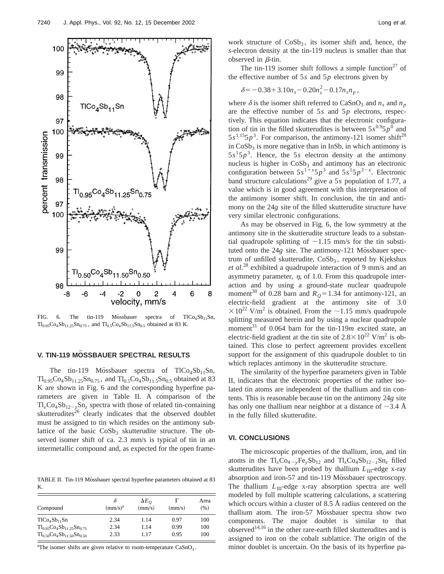

FIG. 6. The tin-119 Mössbauer spectra of  $TICo<sub>4</sub>Sb<sub>11</sub>Sn$ ,  $Tl_{0.95}Co_4Sb_{11.25}Sn_{0.75}$ , and  $Tl_{0.5}Co_4Sb_{11.5}Sn_{0.5}$  obtained at 83 K.

# **V. TIN-119 MÖSSBAUER SPECTRAL RESULTS**

The tin-119 Mössbauer spectra of  $TICo<sub>4</sub>Sb<sub>11</sub>Sn$ ,  $Tl_{0.95}Co_4Sb_{11.25}Sn_{0.75}$ , and  $Tl_{0.5}Co_4Sb_{11.5}Sn_{0.5}$  obtained at 83 K are shown in Fig. 6 and the corresponding hyperfine parameters are given in Table II. A comparison of the  $Tl_xCo_4Sb_{12-z}Sn_z$  spectra with those of related tin-containing skutterudites $^{26}$  clearly indicates that the observed doublet must be assigned to tin which resides on the antimony sublattice of the basic  $CoSb<sub>3</sub>$  skutterudite structure. The observed isomer shift of ca. 2.3 mm/s is typical of tin in an intermetallic compound and, as expected for the open frame-

TABLE II. Tin-119 Mössbauer spectral hyperfine parameters obtained at 83 K.

|                                       |            | $\Delta E_{\Omega}$ |        | Area |
|---------------------------------------|------------|---------------------|--------|------|
| Compound                              | $(mm/s)^a$ | (mm/s)              | (mm/s) | (% ) |
| T1CO <sub>4</sub> Sb <sub>11</sub> Sn | 2.34       | 1.14                | 0.97   | 100  |
| $Tl_{0.95}Co_4Sb_{11.25}Sn_{0.75}$    | 2.34       | 1.14                | 0.99   | 100  |
| $Tl_{0.50}Co_{4}Sb_{11.50}Sn_{0.50}$  | 2.33       | 1.17                | 0.95   | 100  |

<sup>a</sup>The isomer shifts are given relative to room-temperature  $CaSnO<sub>3</sub>$ .

work structure of  $CoSb<sub>3</sub>$ , its isomer shift and, hence, the *s*-electron density at the tin-119 nucleus is smaller than that observed in  $\beta$ -tin.

The tin-119 isomer shift follows a simple function<sup>27</sup> of the effective number of 5*s* and 5*p* electrons given by

$$
\delta = -0.38 + 3.10 n_s - 0.20 n_s^2 - 0.17 n_s n_p,
$$

where  $\delta$  is the isomer shift referred to CaSnO<sub>3</sub> and  $n_s$  and  $n_p$ are the effective number of 5*s* and 5*p* electrons, respectively. This equation indicates that the electronic configuration of tin in the filled skutterudites is between  $5s^{0.9}5p^0$  and  $5s^{1.15}5p^3$ . For comparison, the antimony-121 isomer shift<sup>28</sup> in  $CoSb<sub>3</sub>$  is more negative than in InSb, in which antimony is  $5s<sup>1</sup>5p<sup>3</sup>$ . Hence, the 5*s* electron density at the antimony nucleus is higher in  $CoSb<sub>3</sub>$  and antimony has an electronic configuration between  $5s^{1+x}5p^3$  and  $5s^15p^{3-x}$ . Electronic band structure calculations<sup>29</sup> give a 5*s* population of 1.77, a value which is in good agreement with this interpretation of the antimony isomer shift. In conclusion, the tin and antimony on the 24*g* site of the filled skutterudite structure have very similar electronic configurations.

As may be observed in Fig. 6, the low symmetry at the antimony site in the skutterudite structure leads to a substantial quadrupole splitting of  $\sim$ 1.15 mm/s for the tin substituted onto the 24*g* site. The antimony-121 Mössbauer spectrum of unfilled skutterudite,  $CoSb<sub>3</sub>$ , reported by Kjekshus *et al.*<sup>28</sup> exhibited a quadrupole interaction of 9 mm/s and an asymmetry parameter,  $\eta$ , of 1.0. From this quadrupole interaction and by using a ground-state nuclear quadrupole moment<sup>30</sup> of 0.28 barn and  $R<sub>Q</sub>=1.34$  for antimony-121, an electric-field gradient at the antimony site of 3.0  $\times 10^{22}$  V/m<sup>2</sup> is obtained. From the  $\sim$ 1.15 mm/s quadrupole splitting measured herein and by using a nuclear quadrupole moment<sup>31</sup> of 0.064 barn for the tin-119*m* excited state, an electric-field gradient at the tin site of  $2.8 \times 10^{22}$  V/m<sup>2</sup> is obtained. This close to perfect agreement provides excellent support for the assignment of this quadrupole doublet to tin which replaces antimony in the skutterudite structure.

The similarity of the hyperfine parameters given in Table II, indicates that the electronic properties of the rather isolated tin atoms are independent of the thallium and tin contents. This is reasonable because tin on the antimony 24*g* site has only one thallium near neighbor at a distance of  $\sim$ 3.4 Å in the fully filled skutterudite.

#### **VI. CONCLUSIONS**

The microscopic properties of the thallium, iron, and tin atoms in the  $Tl_xCo_{4-y}Fe_ySb_{12}$  and  $Tl_xCo_4Sb_{12-z}Sn_z$  filled skutterudites have been probed by thallium *L*<sub>III</sub>-edge x-ray absorption and iron-57 and tin-119 Mössbauer spectroscopy. The thallium  $L_{\text{III}}$ -edge x-ray absorption spectra are well modeled by full multiple scattering calculations, a scattering which occurs within a cluster of 8.5 Å radius centered on the thallium atom. The iron-57 Mössbauer spectra show two components. The major doublet is similar to that observed<sup>14,16</sup> in the other rare-earth filled skutterudites and is assigned to iron on the cobalt sublattice. The origin of the minor doublet is uncertain. On the basis of its hyperfine pa